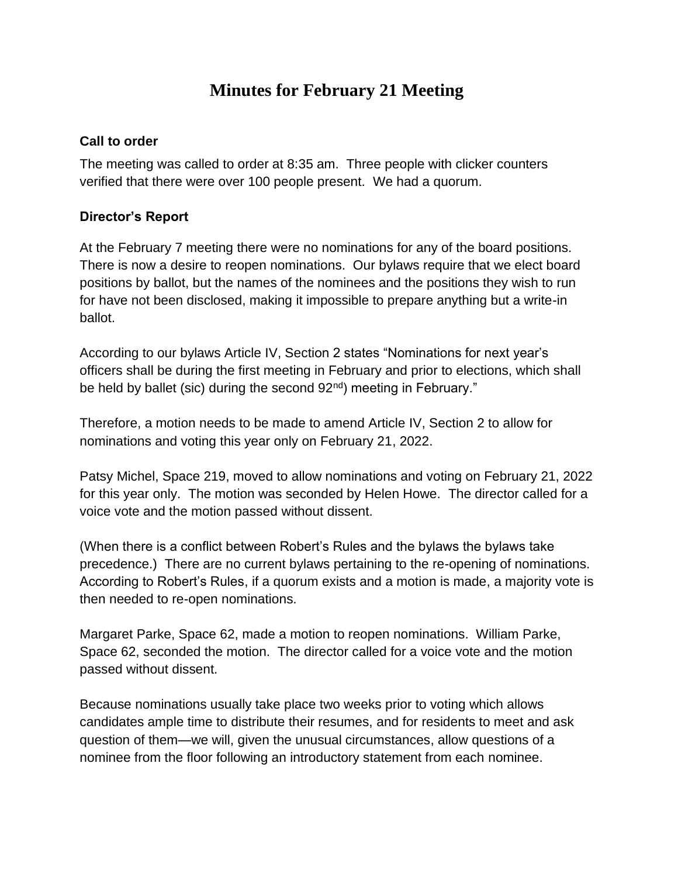# **Minutes for February 21 Meeting**

#### **Call to order**

The meeting was called to order at 8:35 am. Three people with clicker counters verified that there were over 100 people present. We had a quorum.

#### **Director's Report**

At the February 7 meeting there were no nominations for any of the board positions. There is now a desire to reopen nominations. Our bylaws require that we elect board positions by ballot, but the names of the nominees and the positions they wish to run for have not been disclosed, making it impossible to prepare anything but a write-in ballot.

According to our bylaws Article IV, Section 2 states "Nominations for next year's officers shall be during the first meeting in February and prior to elections, which shall be held by ballet (sic) during the second 92<sup>nd</sup>) meeting in February."

Therefore, a motion needs to be made to amend Article IV, Section 2 to allow for nominations and voting this year only on February 21, 2022.

Patsy Michel, Space 219, moved to allow nominations and voting on February 21, 2022 for this year only. The motion was seconded by Helen Howe. The director called for a voice vote and the motion passed without dissent.

(When there is a conflict between Robert's Rules and the bylaws the bylaws take precedence.) There are no current bylaws pertaining to the re-opening of nominations. According to Robert's Rules, if a quorum exists and a motion is made, a majority vote is then needed to re-open nominations.

Margaret Parke, Space 62, made a motion to reopen nominations. William Parke, Space 62, seconded the motion. The director called for a voice vote and the motion passed without dissent.

Because nominations usually take place two weeks prior to voting which allows candidates ample time to distribute their resumes, and for residents to meet and ask question of them—we will, given the unusual circumstances, allow questions of a nominee from the floor following an introductory statement from each nominee.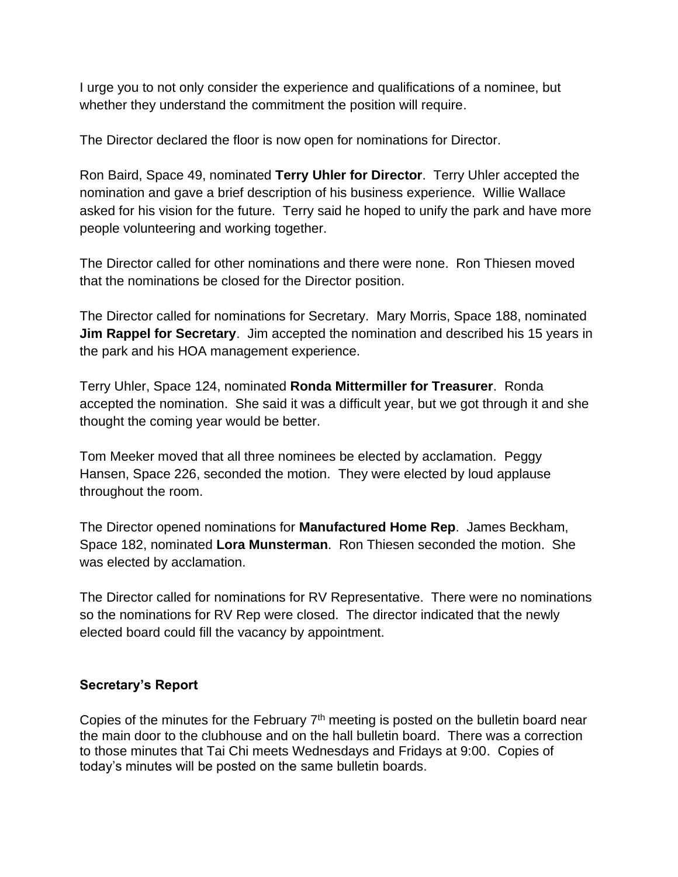I urge you to not only consider the experience and qualifications of a nominee, but whether they understand the commitment the position will require.

The Director declared the floor is now open for nominations for Director.

Ron Baird, Space 49, nominated **Terry Uhler for Director**. Terry Uhler accepted the nomination and gave a brief description of his business experience. Willie Wallace asked for his vision for the future. Terry said he hoped to unify the park and have more people volunteering and working together.

The Director called for other nominations and there were none. Ron Thiesen moved that the nominations be closed for the Director position.

The Director called for nominations for Secretary. Mary Morris, Space 188, nominated **Jim Rappel for Secretary**. Jim accepted the nomination and described his 15 years in the park and his HOA management experience.

Terry Uhler, Space 124, nominated **Ronda Mittermiller for Treasurer**. Ronda accepted the nomination. She said it was a difficult year, but we got through it and she thought the coming year would be better.

Tom Meeker moved that all three nominees be elected by acclamation. Peggy Hansen, Space 226, seconded the motion. They were elected by loud applause throughout the room.

The Director opened nominations for **Manufactured Home Rep**. James Beckham, Space 182, nominated **Lora Munsterman**. Ron Thiesen seconded the motion. She was elected by acclamation.

The Director called for nominations for RV Representative. There were no nominations so the nominations for RV Rep were closed. The director indicated that the newly elected board could fill the vacancy by appointment.

## **Secretary's Report**

Copies of the minutes for the February  $7<sup>th</sup>$  meeting is posted on the bulletin board near the main door to the clubhouse and on the hall bulletin board. There was a correction to those minutes that Tai Chi meets Wednesdays and Fridays at 9:00. Copies of today's minutes will be posted on the same bulletin boards.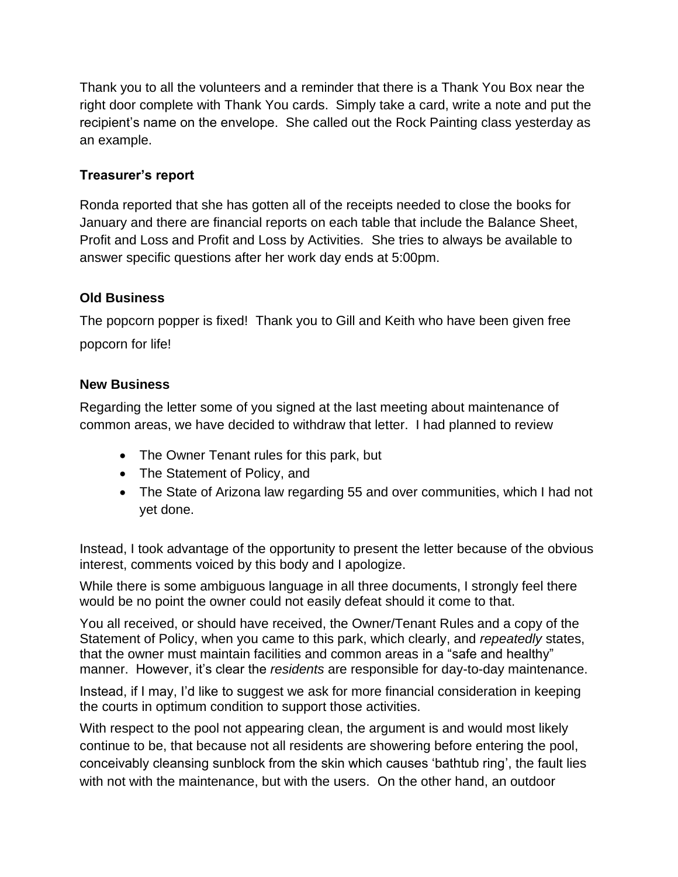Thank you to all the volunteers and a reminder that there is a Thank You Box near the right door complete with Thank You cards. Simply take a card, write a note and put the recipient's name on the envelope. She called out the Rock Painting class yesterday as an example.

# **Treasurer's report**

Ronda reported that she has gotten all of the receipts needed to close the books for January and there are financial reports on each table that include the Balance Sheet, Profit and Loss and Profit and Loss by Activities. She tries to always be available to answer specific questions after her work day ends at 5:00pm.

# **Old Business**

The popcorn popper is fixed! Thank you to Gill and Keith who have been given free popcorn for life!

## **New Business**

Regarding the letter some of you signed at the last meeting about maintenance of common areas, we have decided to withdraw that letter. I had planned to review

- The Owner Tenant rules for this park, but
- The Statement of Policy, and
- The State of Arizona law regarding 55 and over communities, which I had not yet done.

Instead, I took advantage of the opportunity to present the letter because of the obvious interest, comments voiced by this body and I apologize.

While there is some ambiguous language in all three documents, I strongly feel there would be no point the owner could not easily defeat should it come to that.

You all received, or should have received, the Owner/Tenant Rules and a copy of the Statement of Policy, when you came to this park, which clearly, and *repeatedly* states, that the owner must maintain facilities and common areas in a "safe and healthy" manner. However, it's clear the *residents* are responsible for day-to-day maintenance.

Instead, if I may, I'd like to suggest we ask for more financial consideration in keeping the courts in optimum condition to support those activities.

With respect to the pool not appearing clean, the argument is and would most likely continue to be, that because not all residents are showering before entering the pool, conceivably cleansing sunblock from the skin which causes 'bathtub ring', the fault lies with not with the maintenance, but with the users. On the other hand, an outdoor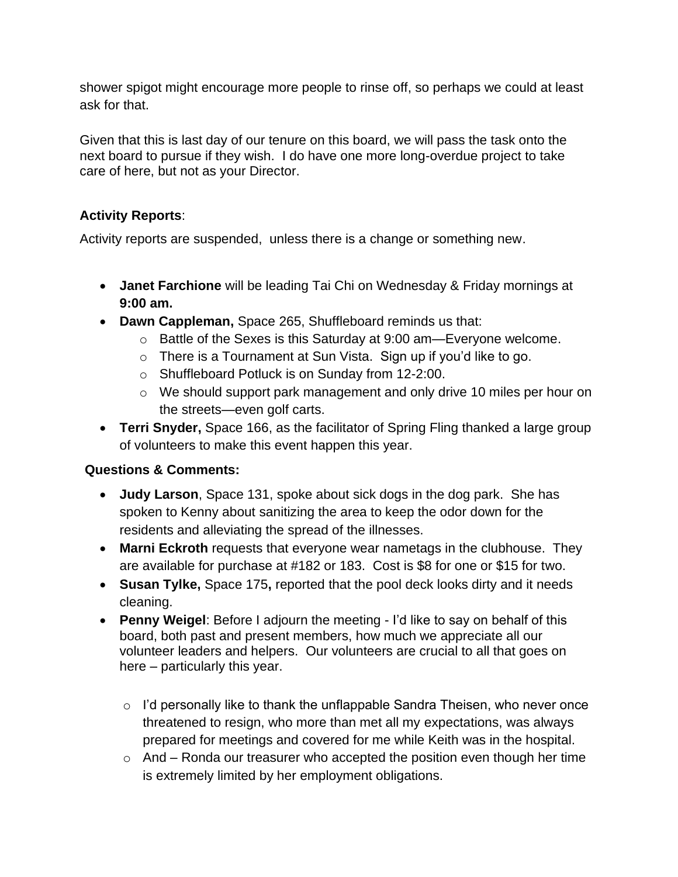shower spigot might encourage more people to rinse off, so perhaps we could at least ask for that.

Given that this is last day of our tenure on this board, we will pass the task onto the next board to pursue if they wish. I do have one more long-overdue project to take care of here, but not as your Director.

## **Activity Reports**:

Activity reports are suspended, unless there is a change or something new.

- **Janet Farchione** will be leading Tai Chi on Wednesday & Friday mornings at **9:00 am.**
- **Dawn Cappleman,** Space 265, Shuffleboard reminds us that:
	- o Battle of the Sexes is this Saturday at 9:00 am—Everyone welcome.
	- o There is a Tournament at Sun Vista. Sign up if you'd like to go.
	- o Shuffleboard Potluck is on Sunday from 12-2:00.
	- o We should support park management and only drive 10 miles per hour on the streets—even golf carts.
- **Terri Snyder,** Space 166, as the facilitator of Spring Fling thanked a large group of volunteers to make this event happen this year.

# **Questions & Comments:**

- **Judy Larson**, Space 131, spoke about sick dogs in the dog park. She has spoken to Kenny about sanitizing the area to keep the odor down for the residents and alleviating the spread of the illnesses.
- **Marni Eckroth** requests that everyone wear nametags in the clubhouse. They are available for purchase at #182 or 183. Cost is \$8 for one or \$15 for two.
- **Susan Tylke,** Space 175**,** reported that the pool deck looks dirty and it needs cleaning.
- **Penny Weigel**: Before I adjourn the meeting I'd like to say on behalf of this board, both past and present members, how much we appreciate all our volunteer leaders and helpers. Our volunteers are crucial to all that goes on here – particularly this year.
	- o I'd personally like to thank the unflappable Sandra Theisen, who never once threatened to resign, who more than met all my expectations, was always prepared for meetings and covered for me while Keith was in the hospital.
	- $\circ$  And Ronda our treasurer who accepted the position even though her time is extremely limited by her employment obligations.